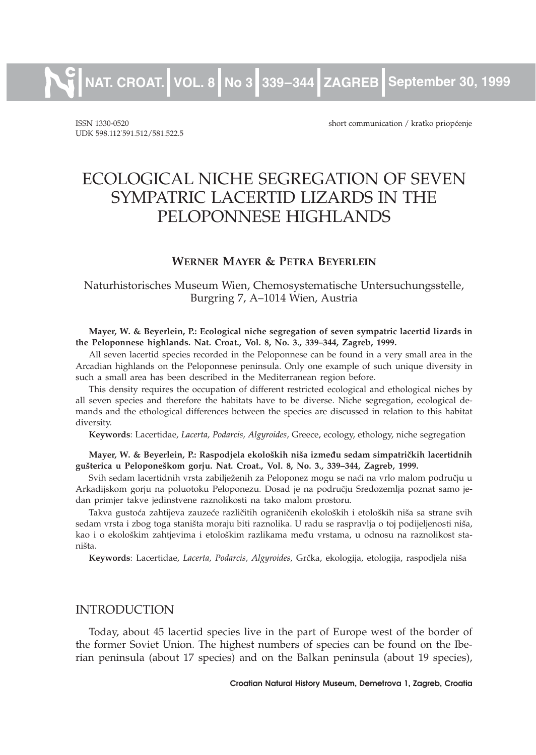**NAT. CROAT. VOL. 8 No 3 339¿344 ZAGREB September 30, 1999**

UDK 598.112. 591.512/581.522.5

ISSN 1330-0520 short communication / kratko priop}enje

# ECOLOGICAL NICHE SEGREGATION OF SEVEN SYMPATRIC LACERTID LIZARDS IN THE PELOPONNESE HIGHLANDS

### **WERNER MAYER & PETRA BEYERLEIN**

Naturhistorisches Museum Wien, Chemosystematische Untersuchungsstelle, Burgring 7, A–1014 Wien, Austria

**Mayer, W. & Beyerlein, P.: Ecological niche segregation of seven sympatric lacertid lizards in the Peloponnese highlands. Nat. Croat., Vol. 8, No. 3., 339–344, Zagreb, 1999.**

All seven lacertid species recorded in the Peloponnese can be found in a very small area in the Arcadian highlands on the Peloponnese peninsula. Only one example of such unique diversity in such a small area has been described in the Mediterranean region before.

This density requires the occupation of different restricted ecological and ethological niches by all seven species and therefore the habitats have to be diverse. Niche segregation, ecological demands and the ethological differences between the species are discussed in relation to this habitat diversity.

**Keywords**: Lacertidae, *Lacerta, Podarcis, Algyroides,* Greece, ecology, ethology, niche segregation

Mayer, W. & Beyerlein, P.: Raspodjela ekoloških niša između sedam simpatričkih lacertidnih **gu{terica u Pelopone{kom gorju. Nat. Croat., Vol. 8, No. 3., 339–344, Zagreb, 1999.**

Svih sedam lacertidnih vrsta zabilježenih za Peloponez mogu se naći na vrlo malom području u Arkadijskom gorju na poluotoku Peloponezu. Dosad je na području Sredozemlja poznat samo jedan primjer takve jedinstvene raznolikosti na tako malom prostoru.

Takva gustoća zahtijeva zauzeće različitih ograničenih ekoloških i etoloških niša sa strane svih sedam vrsta i zbog toga staništa moraju biti raznolika. U radu se raspravlja o toj podijeljenosti niša, kao i o ekološkim zahtjevima i etološkim razlikama među vrstama, u odnosu na raznolikost staništa.

Keywords: Lacertidae, *Lacerta, Podarcis, Algyroides, Grčka, ekologija, etologija, raspodjela niša* 

#### INTRODUCTION

Today, about 45 lacertid species live in the part of Europe west of the border of the former Soviet Union. The highest numbers of species can be found on the Iberian peninsula (about 17 species) and on the Balkan peninsula (about 19 species),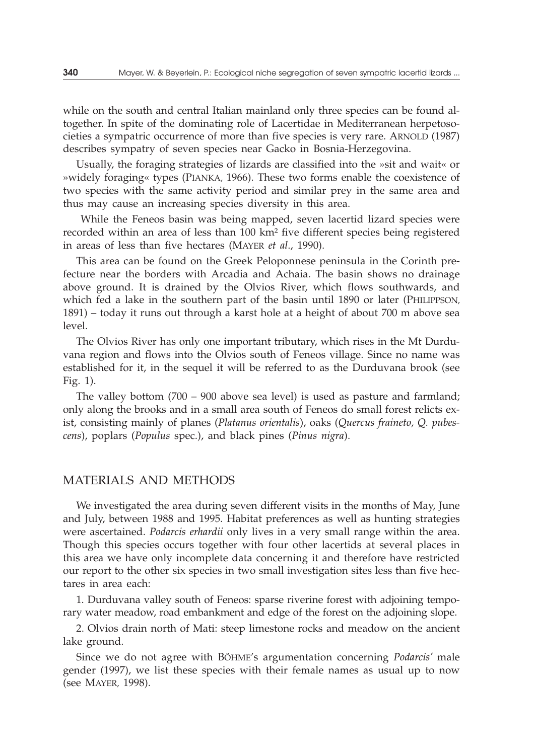while on the south and central Italian mainland only three species can be found altogether. In spite of the dominating role of Lacertidae in Mediterranean herpetosocieties a sympatric occurrence of more than five species is very rare. ARNOLD (1987) describes sympatry of seven species near Gacko in Bosnia-Herzegovina.

Usually, the foraging strategies of lizards are classified into the »sit and wait« or »widely foraging« types (PIANKA, 1966). These two forms enable the coexistence of two species with the same activity period and similar prey in the same area and thus may cause an increasing species diversity in this area.

While the Feneos basin was being mapped, seven lacertid lizard species were recorded within an area of less than 100 km² five different species being registered in areas of less than five hectares (MAYER *et al*., 1990).

This area can be found on the Greek Peloponnese peninsula in the Corinth prefecture near the borders with Arcadia and Achaia. The basin shows no drainage above ground. It is drained by the Olvios River, which flows southwards, and which fed a lake in the southern part of the basin until 1890 or later (PHILIPPSON, 1891) – today it runs out through a karst hole at a height of about 700 m above sea level.

The Olvios River has only one important tributary, which rises in the Mt Durduvana region and flows into the Olvios south of Feneos village. Since no name was established for it, in the sequel it will be referred to as the Durduvana brook (see Fig. 1).

The valley bottom (700 – 900 above sea level) is used as pasture and farmland; only along the brooks and in a small area south of Feneos do small forest relicts exist, consisting mainly of planes (*Platanus orientalis*), oaks (*Quercus fraineto, Q. pubescens*), poplars (*Populus* spec.), and black pines (*Pinus nigra*).

## MATERIALS AND METHODS

We investigated the area during seven different visits in the months of May, June and July, between 1988 and 1995. Habitat preferences as well as hunting strategies were ascertained. *Podarcis erhardii* only lives in a very small range within the area. Though this species occurs together with four other lacertids at several places in this area we have only incomplete data concerning it and therefore have restricted our report to the other six species in two small investigation sites less than five hectares in area each:

1. Durduvana valley south of Feneos: sparse riverine forest with adjoining temporary water meadow, road embankment and edge of the forest on the adjoining slope.

2. Olvios drain north of Mati: steep limestone rocks and meadow on the ancient lake ground.

Since we do not agree with BÖHME's argumentation concerning *Podarcis'* male gender (1997), we list these species with their female names as usual up to now (see MAYER, 1998).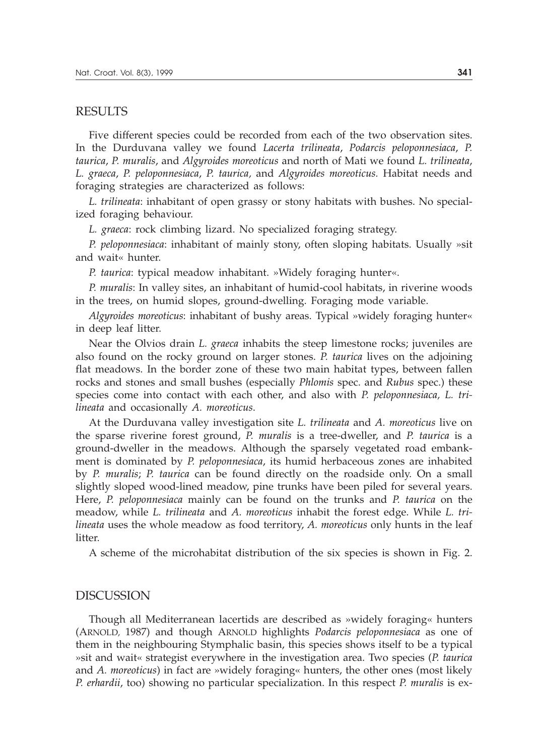#### RESULTS

Five different species could be recorded from each of the two observation sites. In the Durduvana valley we found *Lacerta trilineata*, *Podarcis peloponnesiaca*, *P. taurica*, *P. muralis*, and *Algyroides moreoticus* and north of Mati we found *L. trilineata*, *L. graeca*, *P. peloponnesiaca*, *P. taurica,* and *Algyroides moreoticus.* Habitat needs and foraging strategies are characterized as follows:

*L. trilineata*: inhabitant of open grassy or stony habitats with bushes. No specialized foraging behaviour.

*L. graeca*: rock climbing lizard. No specialized foraging strategy.

*P. peloponnesiaca*: inhabitant of mainly stony, often sloping habitats. Usually »sit and wait« hunter.

*P. taurica*: typical meadow inhabitant. »Widely foraging hunter«.

*P. muralis*: In valley sites, an inhabitant of humid-cool habitats, in riverine woods in the trees, on humid slopes, ground-dwelling. Foraging mode variable.

*Algyroides moreoticus*: inhabitant of bushy areas. Typical »widely foraging hunter« in deep leaf litter.

Near the Olvios drain *L. graeca* inhabits the steep limestone rocks; juveniles are also found on the rocky ground on larger stones. *P. taurica* lives on the adjoining flat meadows. In the border zone of these two main habitat types, between fallen rocks and stones and small bushes (especially *Phlomis* spec. and *Rubus* spec.) these species come into contact with each other, and also with *P. peloponnesiaca, L. trilineata* and occasionally *A. moreoticus*.

At the Durduvana valley investigation site *L. trilineata* and *A. moreoticus* live on the sparse riverine forest ground, *P. muralis* is a tree-dweller, and *P. taurica* is a ground-dweller in the meadows. Although the sparsely vegetated road embankment is dominated by *P. peloponnesiaca*, its humid herbaceous zones are inhabited by *P. muralis*; *P. taurica* can be found directly on the roadside only. On a small slightly sloped wood-lined meadow, pine trunks have been piled for several years. Here, *P. peloponnesiaca* mainly can be found on the trunks and *P. taurica* on the meadow, while *L. trilineata* and *A. moreoticus* inhabit the forest edge. While *L. trilineata* uses the whole meadow as food territory, *A. moreoticus* only hunts in the leaf litter.

A scheme of the microhabitat distribution of the six species is shown in Fig. 2.

#### DISCUSSION

Though all Mediterranean lacertids are described as »widely foraging« hunters (ARNOLD, 1987) and though ARNOLD highlights *Podarcis peloponnesiaca* as one of them in the neighbouring Stymphalic basin, this species shows itself to be a typical »sit and wait« strategist everywhere in the investigation area. Two species (*P. taurica* and *A. moreoticus*) in fact are »widely foraging« hunters, the other ones (most likely *P. erhardii*, too) showing no particular specialization. In this respect *P. muralis* is ex-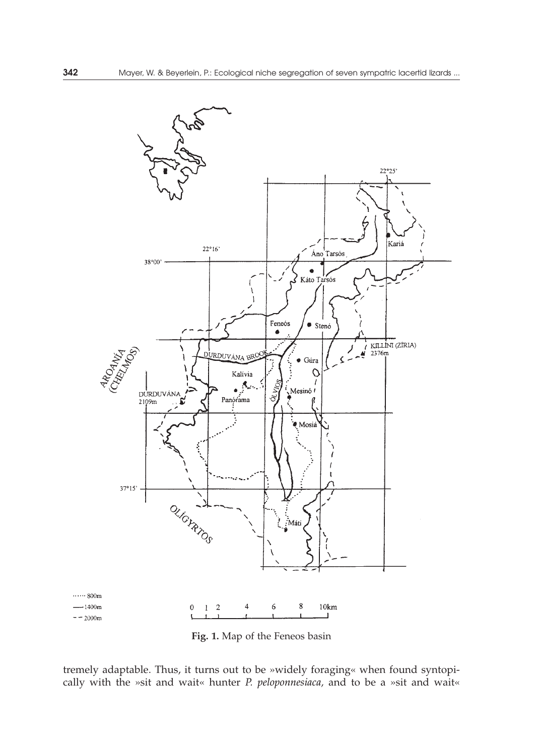

**Fig. 1.** Map of the Feneos basin

tremely adaptable. Thus, it turns out to be »widely foraging« when found syntopically with the »sit and wait« hunter *P. peloponnesiaca,* and to be a »sit and wait«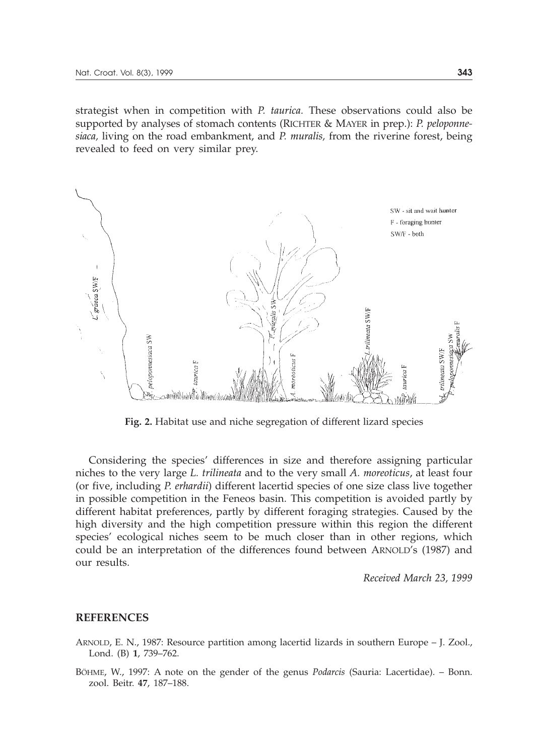strategist when in competition with *P. taurica.* These observations could also be supported by analyses of stomach contents (RICHTER & MAYER in prep.): *P. peloponnesiaca,* living on the road embankment, and *P. muralis,* from the riverine forest, being revealed to feed on very similar prey.



**Fig. 2.** Habitat use and niche segregation of different lizard species

Considering the species' differences in size and therefore assigning particular niches to the very large *L. trilineata* and to the very small *A. moreoticus*, at least four (or five, including *P. erhardii*) different lacertid species of one size class live together in possible competition in the Feneos basin. This competition is avoided partly by different habitat preferences, partly by different foraging strategies. Caused by the high diversity and the high competition pressure within this region the different species' ecological niches seem to be much closer than in other regions, which could be an interpretation of the differences found between ARNOLD's (1987) and our results.

*Received March 23, 1999*

#### **REFERENCES**

- ARNOLD, E. N., 1987: Resource partition among lacertid lizards in southern Europe J. Zool., Lond. (B) **1**, 739–762.
- BÖHME, W., 1997: A note on the gender of the genus *Podarcis* (Sauria: Lacertidae). Bonn. zool. Beitr. **47**, 187–188.